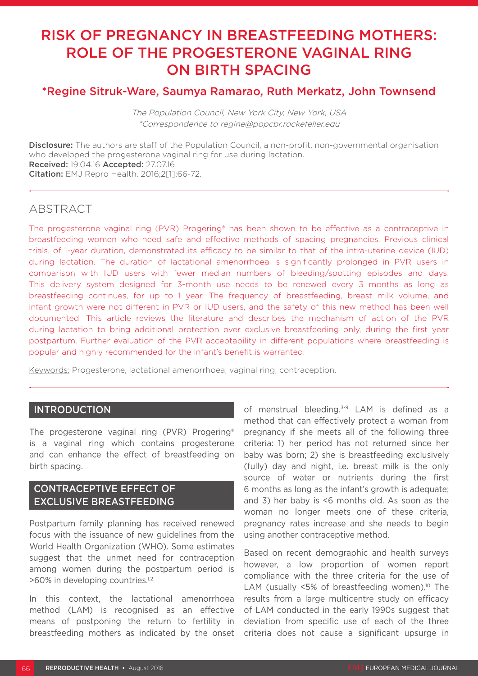# RISK OF PREGNANCY IN BREASTFEEDING MOTHERS: ROLE OF THE PROGESTERONE VAGINAL RING ON BIRTH SPACING

# \*Regine Sitruk-Ware, Saumya Ramarao, Ruth Merkatz, John Townsend

The Population Council, New York City, New York, USA \*Correspondence to regine@popcbr.rockefeller.edu

**Disclosure:** The authors are staff of the Population Council, a non-profit, non-governmental organisation who developed the progesterone vaginal ring for use during lactation. Received: 19.04.16 Accepted: 27.07.16 Citation: EMJ Repro Health. 2016;2[1]:66-72.

## ABSTRACT

The progesterone vaginal ring (PVR) Progering® has been shown to be effective as a contraceptive in breastfeeding women who need safe and effective methods of spacing pregnancies. Previous clinical trials, of 1-year duration, demonstrated its efficacy to be similar to that of the intra-uterine device (IUD) during lactation. The duration of lactational amenorrhoea is significantly prolonged in PVR users in comparison with IUD users with fewer median numbers of bleeding/spotting episodes and days. This delivery system designed for 3-month use needs to be renewed every 3 months as long as breastfeeding continues, for up to 1 year. The frequency of breastfeeding, breast milk volume, and infant growth were not different in PVR or IUD users, and the safety of this new method has been well documented. This article reviews the literature and describes the mechanism of action of the PVR during lactation to bring additional protection over exclusive breastfeeding only, during the first year postpartum. Further evaluation of the PVR acceptability in different populations where breastfeeding is popular and highly recommended for the infant's benefit is warranted.

Keywords: Progesterone, lactational amenorrhoea, vaginal ring, contraception.

### INTRODUCTION

The progesterone vaginal ring (PVR) Progering® is a vaginal ring which contains progesterone and can enhance the effect of breastfeeding on birth spacing.

## CONTRACEPTIVE EFFECT OF EXCLUSIVE BREASTFEEDING

Postpartum family planning has received renewed focus with the issuance of new guidelines from the World Health Organization (WHO). Some estimates suggest that the unmet need for contraception among women during the postpartum period is >60% in developing countries.1,2

In this context, the lactational amenorrhoea method (LAM) is recognised as an effective means of postponing the return to fertility in breastfeeding mothers as indicated by the onset of menstrual bleeding.<sup>3-9</sup> LAM is defined as a method that can effectively protect a woman from pregnancy if she meets all of the following three criteria: 1) her period has not returned since her baby was born; 2) she is breastfeeding exclusively (fully) day and night, i.e. breast milk is the only source of water or nutrients during the first 6 months as long as the infant's growth is adequate; and 3) her baby is <6 months old. As soon as the woman no longer meets one of these criteria, pregnancy rates increase and she needs to begin using another contraceptive method.

Based on recent demographic and health surveys however, a low proportion of women report compliance with the three criteria for the use of LAM (usually  $<5\%$  of breastfeeding women).<sup>10</sup> The results from a large multicentre study on efficacy of LAM conducted in the early 1990s suggest that deviation from specific use of each of the three criteria does not cause a significant upsurge in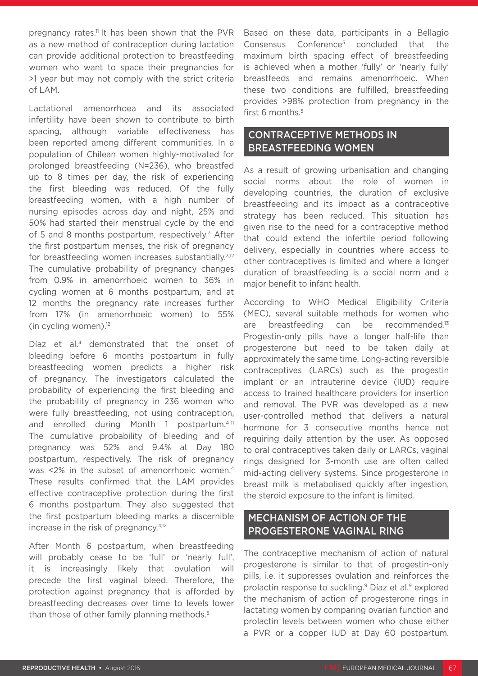pregnancy rates.<sup>11</sup> It has been shown that the PVR as a new method of contraception during lactation can provide additional protection to breastfeeding women who want to space their pregnancies for >1 year but may not comply with the strict criteria of LAM.

Lactational amenorrhoea and its associated infertility have been shown to contribute to birth spacing, although variable effectiveness has been reported among different communities. In a population of Chilean women highly-motivated for prolonged breastfeeding (N=236), who breastfed up to 8 times per day, the risk of experiencing the first bleeding was reduced. Of the fully breastfeeding women, with a high number of nursing episodes across day and night, 25% and 50% had started their menstrual cycle by the end of 5 and 8 months postpartum, respectively.<sup>3</sup> After the first postpartum menses, the risk of pregnancy for breastfeeding women increases substantially.<sup>3,12</sup> The cumulative probability of pregnancy changes from 0.9% in amenorrhoeic women to 36% in cycling women at 6 months postpartum, and at 12 months the pregnancy rate increases further from 17% (in amenorrhoeic women) to 55% (in cycling women). $12$ 

Díaz et al.<sup>4</sup> demonstrated that the onset of bleeding before 6 months postpartum in fully breastfeeding women predicts a higher risk of pregnancy. The investigators calculated the probability of experiencing the first bleeding and the probability of pregnancy in 236 women who were fully breastfeeding, not using contraception, and enrolled during Month 1 postpartum.<sup>4-11</sup> The cumulative probability of bleeding and of pregnancy was 52% and 9.4% at Day 180 postpartum, respectively. The risk of pregnancy was <2% in the subset of amenorrhoeic women.<sup>4</sup> These results confirmed that the LAM provides effective contraceptive protection during the first 6 months postpartum. They also suggested that the first postpartum bleeding marks a discernible increase in the risk of pregnancy.4,12

After Month 6 postpartum, when breastfeeding will probably cease to be 'full' or 'nearly full', it is increasingly likely that ovulation will precede the first vaginal bleed. Therefore, the protection against pregnancy that is afforded by breastfeeding decreases over time to levels lower than those of other family planning methods.<sup>5</sup>

Based on these data, participants in a Bellagio Consensus Conference5 concluded that the maximum birth spacing effect of breastfeeding is achieved when a mother 'fully' or 'nearly fully' breastfeeds and remains amenorrhoeic. When these two conditions are fulfilled, breastfeeding provides >98% protection from pregnancy in the first 6 months.<sup>5</sup>

## CONTRACEPTIVE METHODS IN BREASTFEEDING WOMEN

As a result of growing urbanisation and changing social norms about the role of women in developing countries, the duration of exclusive breastfeeding and its impact as a contraceptive strategy has been reduced. This situation has given rise to the need for a contraceptive method that could extend the infertile period following delivery, especially in countries where access to other contraceptives is limited and where a longer duration of breastfeeding is a social norm and a major benefit to infant health.

According to WHO Medical Eligibility Criteria (MEC), several suitable methods for women who are breastfeeding can be recommended.13 Progestin-only pills have a longer half-life than progesterone but need to be taken daily at approximately the same time. Long-acting reversible contraceptives (LARCs) such as the progestin implant or an intrauterine device (IUD) require access to trained healthcare providers for insertion and removal. The PVR was developed as a new user-controlled method that delivers a natural hormone for 3 consecutive months hence not requiring daily attention by the user. As opposed to oral contraceptives taken daily or LARCs, vaginal rings designed for 3-month use are often called mid-acting delivery systems. Since progesterone in breast milk is metabolised quickly after ingestion, the steroid exposure to the infant is limited.

## MECHANISM OF ACTION OF THE PROGESTERONE VAGINAL RING

The contraceptive mechanism of action of natural progesterone is similar to that of progestin-only pills, i.e. it suppresses ovulation and reinforces the prolactin response to suckling.<sup>9</sup> Díaz et al.<sup>9</sup> explored the mechanism of action of progesterone rings in lactating women by comparing ovarian function and prolactin levels between women who chose either a PVR or a copper IUD at Day 60 postpartum.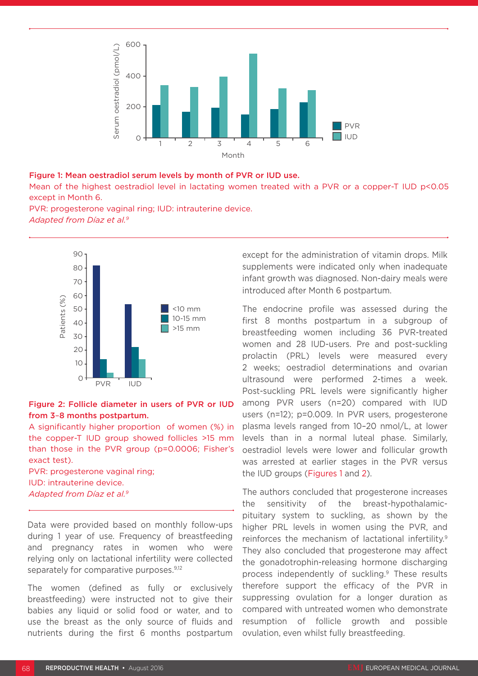

#### Figure 1: Mean oestradiol serum levels by month of PVR or IUD use.

Mean of the highest oestradiol level in lactating women treated with a PVR or a copper-T IUD p<0.05 except in Month 6.

PVR: progesterone vaginal ring; IUD: intrauterine device. *Adapted from Díaz et al.9*



#### Figure 2: Follicle diameter in users of PVR or IUD from 3–8 months postpartum.

A significantly higher proportion of women (%) in the copper-T IUD group showed follicles >15 mm than those in the PVR group (p=0.0006; Fisher's exact test).

PVR: progesterone vaginal ring; IUD: intrauterine device. *Adapted from Díaz et al.9*

Data were provided based on monthly follow-ups during 1 year of use. Frequency of breastfeeding and pregnancy rates in women who were relying only on lactational infertility were collected separately for comparative purposes.<sup>9,12</sup>

The women (defined as fully or exclusively breastfeeding) were instructed not to give their babies any liquid or solid food or water, and to use the breast as the only source of fluids and nutrients during the first 6 months postpartum except for the administration of vitamin drops. Milk supplements were indicated only when inadequate infant growth was diagnosed. Non-dairy meals were introduced after Month 6 postpartum.

The endocrine profile was assessed during the first 8 months postpartum in a subgroup of breastfeeding women including 36 PVR-treated women and 28 IUD-users. Pre and post-suckling prolactin (PRL) levels were measured every 2 weeks; oestradiol determinations and ovarian ultrasound were performed 2-times a week. Post-suckling PRL levels were significantly higher among PVR users (n=20) compared with IUD users (n=12); p=0.009. In PVR users, progesterone plasma levels ranged from 10–20 nmol/L, at lower levels than in a normal luteal phase. Similarly, oestradiol levels were lower and follicular growth was arrested at earlier stages in the PVR versus the IUD groups (Figures 1 and 2).

The authors concluded that progesterone increases the sensitivity of the breast-hypothalamicpituitary system to suckling, as shown by the higher PRL levels in women using the PVR, and reinforces the mechanism of lactational infertility.<sup>9</sup> They also concluded that progesterone may affect the gonadotrophin-releasing hormone discharging process independently of suckling.<sup>9</sup> These results therefore support the efficacy of the PVR in suppressing ovulation for a longer duration as compared with untreated women who demonstrate resumption of follicle growth and possible ovulation, even whilst fully breastfeeding.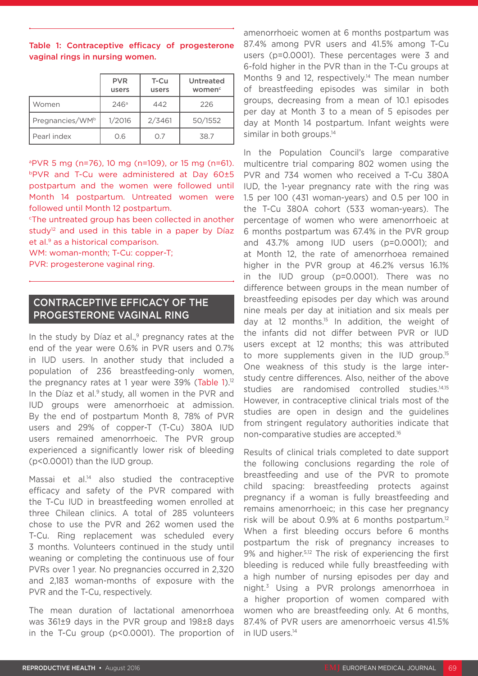|                 | <b>PVR</b><br>users | T-Cu<br>users | Untreated<br>women <sup>c</sup> |
|-----------------|---------------------|---------------|---------------------------------|
| Women           | 246 <sup>a</sup>    | 442           | 226                             |
| Pregnancies/WMb | 1/2016              | 2/3461        | 50/1552                         |
| Pearl index     | 0.6                 | 0.7           | 38.7                            |

Table 1: Contraceptive efficacy of progesterone vaginal rings in nursing women.

aPVR 5 mg (n=76), 10 mg (n=109), or 15 mg (n=61). bPVR and T-Cu were administered at Day 60±5 postpartum and the women were followed until Month 14 postpartum. Untreated women were followed until Month 12 postpartum.

c The untreated group has been collected in another study<sup>12</sup> and used in this table in a paper by Díaz et al.<sup>9</sup> as a historical comparison.

WM: woman-month; T-Cu: copper-T; PVR: progesterone vaginal ring.

## CONTRACEPTIVE EFFICACY OF THE PROGESTERONE VAGINAL RING

In the study by Díaz et al., $9$  pregnancy rates at the end of the year were 0.6% in PVR users and 0.7% in IUD users. In another study that included a population of 236 breastfeeding-only women, the pregnancy rates at 1 year were 39% (Table 1).<sup>12</sup> In the Díaz et al.<sup>9</sup> study, all women in the PVR and IUD groups were amenorrhoeic at admission. By the end of postpartum Month 8, 78% of PVR users and 29% of copper-T (T-Cu) 380A IUD users remained amenorrhoeic. The PVR group experienced a significantly lower risk of bleeding (p<0.0001) than the IUD group.

Massai et al.<sup>14</sup> also studied the contraceptive efficacy and safety of the PVR compared with the T-Cu IUD in breastfeeding women enrolled at three Chilean clinics. A total of 285 volunteers chose to use the PVR and 262 women used the T-Cu. Ring replacement was scheduled every 3 months. Volunteers continued in the study until weaning or completing the continuous use of four PVRs over 1 year. No pregnancies occurred in 2,320 and 2,183 woman-months of exposure with the PVR and the T-Cu, respectively.

The mean duration of lactational amenorrhoea was 361±9 days in the PVR group and 198±8 days in the T-Cu group (p<0.0001). The proportion of amenorrhoeic women at 6 months postpartum was 87.4% among PVR users and 41.5% among T-Cu users (p=0.0001). These percentages were 3 and 6-fold higher in the PVR than in the T-Cu groups at Months 9 and 12, respectively.<sup>14</sup> The mean number of breastfeeding episodes was similar in both groups, decreasing from a mean of 10.1 episodes per day at Month 3 to a mean of 5 episodes per day at Month 14 postpartum. Infant weights were similar in both groups.<sup>14</sup>

In the Population Council's large comparative multicentre trial comparing 802 women using the PVR and 734 women who received a T-Cu 380A IUD, the 1-year pregnancy rate with the ring was 1.5 per 100 (431 woman-years) and 0.5 per 100 in the T-Cu 380A cohort (533 woman-years). The percentage of women who were amenorrhoeic at 6 months postpartum was 67.4% in the PVR group and 43.7% among IUD users (p=0.0001); and at Month 12, the rate of amenorrhoea remained higher in the PVR group at 46.2% versus 16.1% in the IUD group (p=0.0001). There was no difference between groups in the mean number of breastfeeding episodes per day which was around nine meals per day at initiation and six meals per day at 12 months.<sup>15</sup> In addition, the weight of the infants did not differ between PVR or IUD users except at 12 months; this was attributed to more supplements given in the IUD group.15 One weakness of this study is the large interstudy centre differences. Also, neither of the above studies are randomised controlled studies.14,15 However, in contraceptive clinical trials most of the studies are open in design and the guidelines from stringent regulatory authorities indicate that non-comparative studies are accepted.16

Results of clinical trials completed to date support the following conclusions regarding the role of breastfeeding and use of the PVR to promote child spacing: breastfeeding protects against pregnancy if a woman is fully breastfeeding and remains amenorrhoeic; in this case her pregnancy risk will be about 0.9% at 6 months postpartum.12 When a first bleeding occurs before 6 months postpartum the risk of pregnancy increases to 9% and higher.5,12 The risk of experiencing the first bleeding is reduced while fully breastfeeding with a high number of nursing episodes per day and night.3 Using a PVR prolongs amenorrhoea in a higher proportion of women compared with women who are breastfeeding only. At 6 months, 87.4% of PVR users are amenorrhoeic versus 41.5% in IUD users.<sup>14</sup>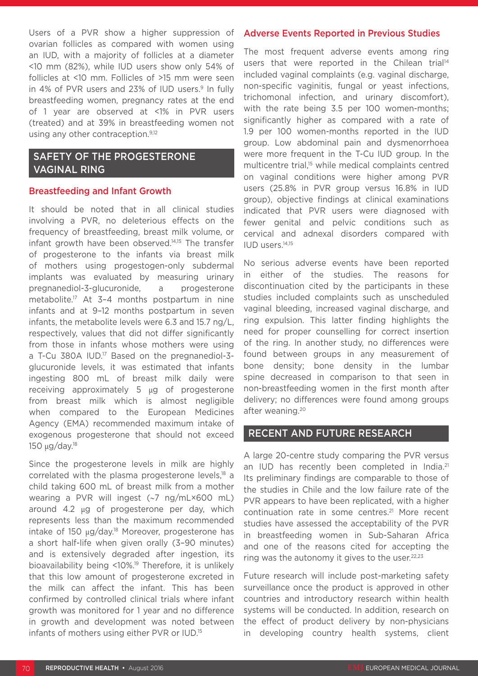Users of a PVR show a higher suppression of ovarian follicles as compared with women using an IUD, with a majority of follicles at a diameter <10 mm (82%), while IUD users show only 54% of follicles at <10 mm. Follicles of >15 mm were seen in 4% of PVR users and 23% of IUD users.<sup>9</sup> In fully breastfeeding women, pregnancy rates at the end of 1 year are observed at <1% in PVR users (treated) and at 39% in breastfeeding women not using any other contraception.<sup>9,12</sup>

## SAFETY OF THE PROGESTERONE VAGINAL RING

#### Breastfeeding and Infant Growth

It should be noted that in all clinical studies involving a PVR, no deleterious effects on the frequency of breastfeeding, breast milk volume, or infant growth have been observed.<sup>14,15</sup> The transfer of progesterone to the infants via breast milk of mothers using progestogen-only subdermal implants was evaluated by measuring urinary pregnanediol-3-glucuronide, a progesterone metabolite.17 At 3–4 months postpartum in nine infants and at 9–12 months postpartum in seven infants, the metabolite levels were 6.3 and 15.7 ng/L, respectively, values that did not differ significantly from those in infants whose mothers were using a T-Cu 380A IUD.17 Based on the pregnanediol-3 glucuronide levels, it was estimated that infants ingesting 800 mL of breast milk daily were receiving approximately 5 µg of progesterone from breast milk which is almost negligible when compared to the European Medicines Agency (EMA) recommended maximum intake of exogenous progesterone that should not exceed 150 µg/day.18

Since the progesterone levels in milk are highly correlated with the plasma progesterone levels, $18$  a child taking 600 mL of breast milk from a mother wearing a PVR will ingest (∼7 ng/mL×600 mL) around 4.2 µg of progesterone per day, which represents less than the maximum recommended intake of 150 µg/day.18 Moreover, progesterone has a short half-life when given orally (3–90 minutes) and is extensively degraded after ingestion, its bioavailability being <10%.19 Therefore, it is unlikely that this low amount of progesterone excreted in the milk can affect the infant. This has been confirmed by controlled clinical trials where infant growth was monitored for 1 year and no difference in growth and development was noted between infants of mothers using either PVR or IUD.15

#### Adverse Events Reported in Previous Studies

The most frequent adverse events among ring users that were reported in the Chilean trial<sup>14</sup> included vaginal complaints (e.g. vaginal discharge, non-specific vaginitis, fungal or yeast infections, trichomonal infection, and urinary discomfort), with the rate being 3.5 per 100 women-months; significantly higher as compared with a rate of 1.9 per 100 women-months reported in the IUD group. Low abdominal pain and dysmenorrhoea were more frequent in the T-Cu IUD group. In the multicentre trial,<sup>15</sup> while medical complaints centred on vaginal conditions were higher among PVR users (25.8% in PVR group versus 16.8% in IUD group), objective findings at clinical examinations indicated that PVR users were diagnosed with fewer genital and pelvic conditions such as cervical and adnexal disorders compared with IUD users.14,15

No serious adverse events have been reported in either of the studies. The reasons for discontinuation cited by the participants in these studies included complaints such as unscheduled vaginal bleeding, increased vaginal discharge, and ring expulsion. This latter finding highlights the need for proper counselling for correct insertion of the ring. In another study, no differences were found between groups in any measurement of bone density; bone density in the lumbar spine decreased in comparison to that seen in non-breastfeeding women in the first month after delivery; no differences were found among groups after weaning.20

#### RECENT AND FUTURE RESEARCH

A large 20-centre study comparing the PVR versus an IUD has recently been completed in India.<sup>21</sup> Its preliminary findings are comparable to those of the studies in Chile and the low failure rate of the PVR appears to have been replicated, with a higher continuation rate in some centres.<sup>21</sup> More recent studies have assessed the acceptability of the PVR in breastfeeding women in Sub-Saharan Africa and one of the reasons cited for accepting the ring was the autonomy it gives to the user. $22,23$ 

Future research will include post-marketing safety surveillance once the product is approved in other countries and introductory research within health systems will be conducted. In addition, research on the effect of product delivery by non-physicians in developing country health systems, client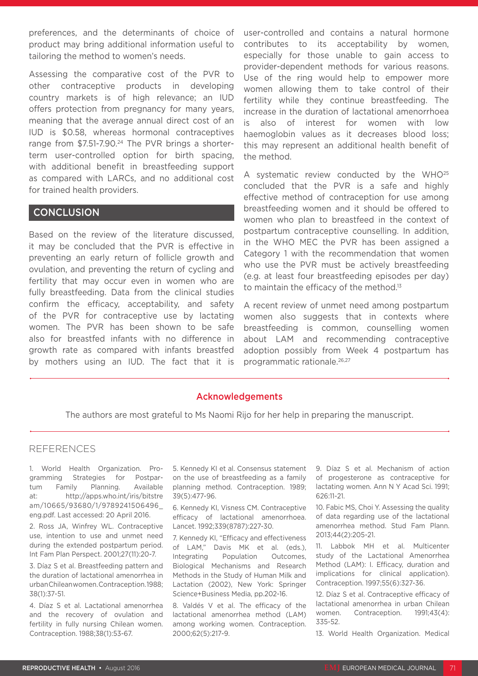preferences, and the determinants of choice of product may bring additional information useful to tailoring the method to women's needs.

Assessing the comparative cost of the PVR to other contraceptive products in developing country markets is of high relevance; an IUD offers protection from pregnancy for many years, meaning that the average annual direct cost of an IUD is \$0.58, whereas hormonal contraceptives range from \$7.51-7.90.<sup>24</sup> The PVR brings a shorterterm user-controlled option for birth spacing, with additional benefit in breastfeeding support as compared with LARCs, and no additional cost for trained health providers.

#### **CONCLUSION**

Based on the review of the literature discussed, it may be concluded that the PVR is effective in preventing an early return of follicle growth and ovulation, and preventing the return of cycling and fertility that may occur even in women who are fully breastfeeding. Data from the clinical studies confirm the efficacy, acceptability, and safety of the PVR for contraceptive use by lactating women. The PVR has been shown to be safe also for breastfed infants with no difference in growth rate as compared with infants breastfed by mothers using an IUD. The fact that it is

user-controlled and contains a natural hormone contributes to its acceptability by women, especially for those unable to gain access to provider-dependent methods for various reasons. Use of the ring would help to empower more women allowing them to take control of their fertility while they continue breastfeeding. The increase in the duration of lactational amenorrhoea is also of interest for women with low haemoglobin values as it decreases blood loss; this may represent an additional health benefit of the method.

A systematic review conducted by the WHO25 concluded that the PVR is a safe and highly effective method of contraception for use among breastfeeding women and it should be offered to women who plan to breastfeed in the context of postpartum contraceptive counselling. In addition, in the WHO MEC the PVR has been assigned a Category 1 with the recommendation that women who use the PVR must be actively breastfeeding (e.g. at least four breastfeeding episodes per day) to maintain the efficacy of the method.<sup>13</sup>

A recent review of unmet need among postpartum women also suggests that in contexts where breastfeeding is common, counselling women about LAM and recommending contraceptive adoption possibly from Week 4 postpartum has programmatic rationale.26,27

#### Acknowledgements

The authors are most grateful to Ms Naomi Rijo for her help in preparing the manuscript.

#### **REFERENCES**

1. World Health Organization. Programming Strategies for Postpartum Family Planning. Available at: http://apps.who.int/iris/bitstre am/10665/93680/1/9789241506496\_ eng.pdf. Last accessed: 20 April 2016.

2. Ross JA, Winfrey WL. Contraceptive use, intention to use and unmet need during the extended postpartum period. Int Fam Plan Perspect. 2001;27(11):20-7.

3. Díaz S et al. Breastfeeding pattern and the duration of lactational amenorrhea in urban Chilean women. Contraception. 1988; 38(1):37-51.

4. Díaz S et al. Lactational amenorrhea and the recovery of ovulation and fertility in fully nursing Chilean women. Contraception. 1988;38(1):53-67.

5. Kennedy KI et al. Consensus statement on the use of breastfeeding as a family planning method. Contraception. 1989; 39(5):477-96.

6. Kennedy KI, Visness CM. Contraceptive efficacy of lactational amenorrhoea. Lancet. 1992;339(8787):227-30.

7. Kennedy KI, "Efficacy and effectiveness of LAM," Davis MK et al. (eds.), Integrating Population Outcomes, Biological Mechanisms and Research Methods in the Study of Human Milk and Lactation (2002), New York: Springer Science+Business Media, pp.202-16.

8. Valdés V et al. The efficacy of the lactational amenorrhea method (LAM) among working women. Contraception. 2000;62(5):217-9.

9. Díaz S et al. Mechanism of action of progesterone as contraceptive for lactating women. Ann N Y Acad Sci. 1991; 626:11-21.

10. Fabic MS, Choi Y. Assessing the quality of data regarding use of the lactational amenorrhea method. Stud Fam Plann. 2013;44(2):205-21.

11. Labbok MH et al. Multicenter study of the Lactational Amenorrhea Method (LAM): I. Efficacy, duration and implications for clinical application). Contraception. 1997;55(6):327-36.

12. Díaz S et al. Contraceptive efficacy of lactational amenorrhea in urban Chilean women. Contraception. 1991;43(4): 335-52.

13. World Health Organization. Medical